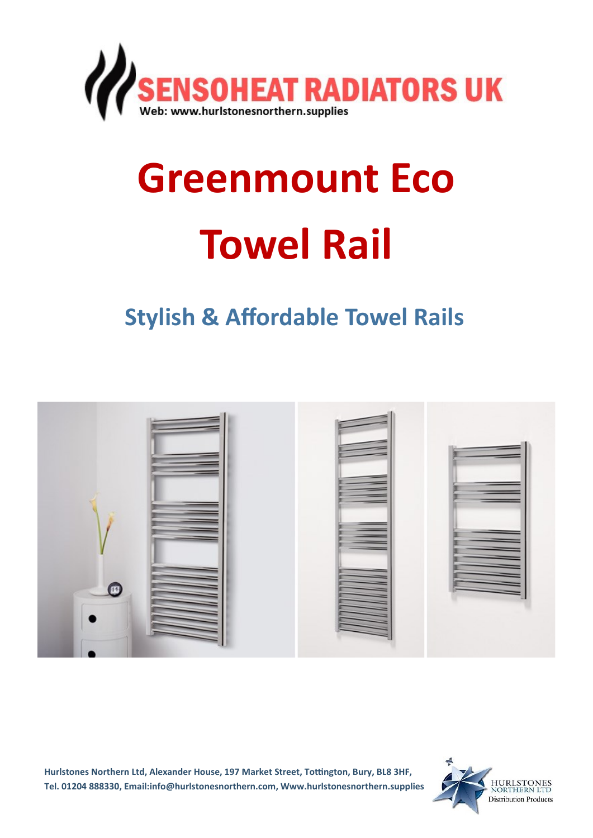

# **Greenmount Eco Towel Rail**

## **Stylish & Affordable Towel Rails**



**Hurlstones Northern Ltd, Alexander House, 197 Market Street, Tottington, Bury, BL8 3HF, Tel. 01204 888330, Email:info@hurlstonesnorthern.com, Www.hurlstonesnorthern.supplies**